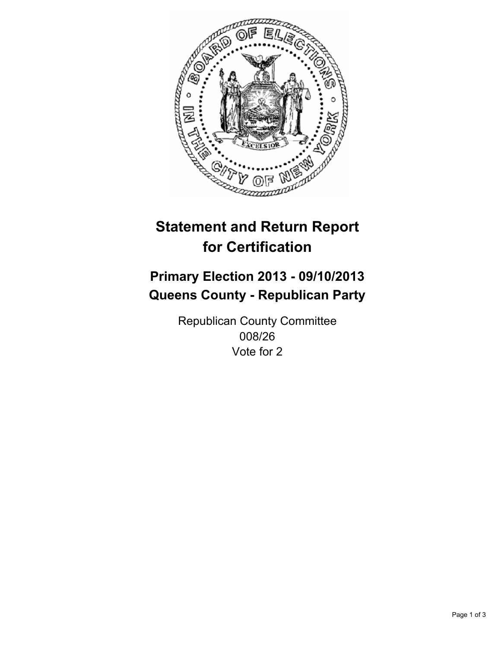

# **Statement and Return Report for Certification**

# **Primary Election 2013 - 09/10/2013 Queens County - Republican Party**

Republican County Committee 008/26 Vote for 2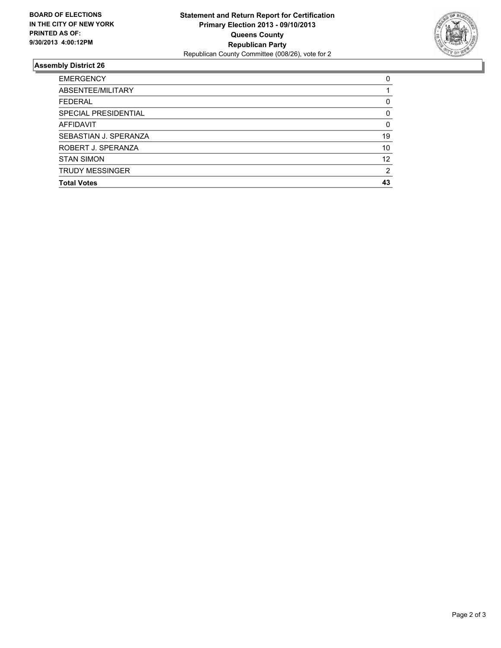

## **Assembly District 26**

| <b>EMERGENCY</b>       | 0        |
|------------------------|----------|
| ABSENTEE/MILITARY      |          |
| <b>FEDERAL</b>         | 0        |
| SPECIAL PRESIDENTIAL   | 0        |
| AFFIDAVIT              | $\Omega$ |
| SEBASTIAN J. SPERANZA  | 19       |
| ROBERT J. SPERANZA     | 10       |
| <b>STAN SIMON</b>      | 12       |
| <b>TRUDY MESSINGER</b> | 2        |
| <b>Total Votes</b>     | 43       |